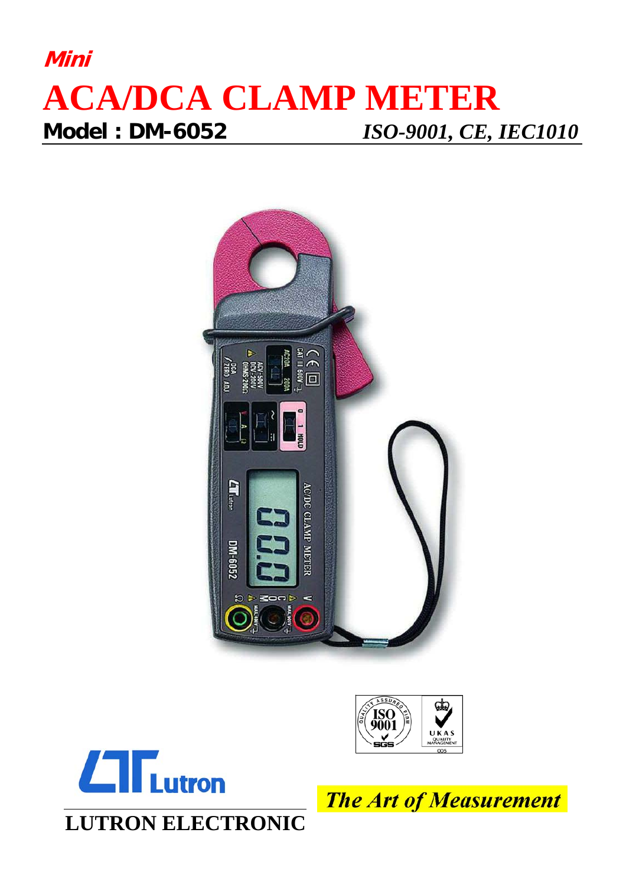## **Mini ACA/DCA CLAMP METER Model : DM-6052** *ISO-9001, CE, IEC1010*







**The Art of Measurement**